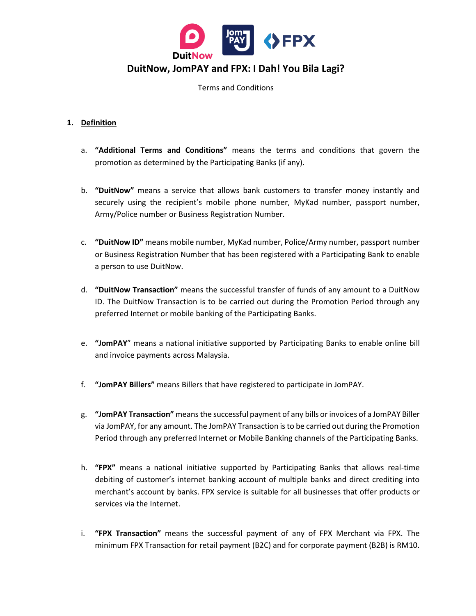

Terms and Conditions

### **1. Definition**

- a. **"Additional Terms and Conditions"** means the terms and conditions that govern the promotion as determined by the Participating Banks (if any).
- b. **"DuitNow"** means a service that allows bank customers to transfer money instantly and securely using the recipient's mobile phone number, MyKad number, passport number, Army/Police number or Business Registration Number.
- c. **"DuitNow ID"** means mobile number, MyKad number, Police/Army number, passport number or Business Registration Number that has been registered with a Participating Bank to enable a person to use DuitNow.
- d. **"DuitNow Transaction"** means the successful transfer of funds of any amount to a DuitNow ID. The DuitNow Transaction is to be carried out during the Promotion Period through any preferred Internet or mobile banking of the Participating Banks.
- e. **"JomPAY**" means a national initiative supported by Participating Banks to enable online bill and invoice payments across Malaysia.
- f. **"JomPAY Billers"** means Billers that have registered to participate in JomPAY.
- g. **"JomPAY Transaction"** means the successful payment of any bills or invoices of a JomPAY Biller via JomPAY, for any amount. The JomPAY Transaction is to be carried out during the Promotion Period through any preferred Internet or Mobile Banking channels of the Participating Banks.
- h. **"FPX"** means a national initiative supported by Participating Banks that allows real-time debiting of customer's internet banking account of multiple banks and direct crediting into merchant's account by banks. FPX service is suitable for all businesses that offer products or services via the Internet.
- i. **"FPX Transaction"** means the successful payment of any of FPX Merchant via FPX. The minimum FPX Transaction for retail payment (B2C) and for corporate payment (B2B) is RM10.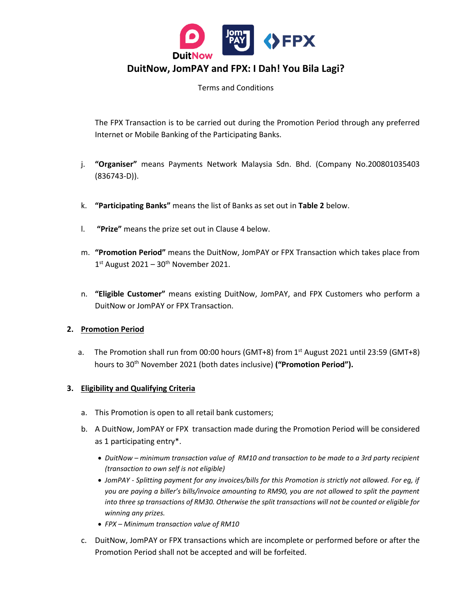

Terms and Conditions

The FPX Transaction is to be carried out during the Promotion Period through any preferred Internet or Mobile Banking of the Participating Banks.

- j. **"Organiser"** means Payments Network Malaysia Sdn. Bhd. (Company No.200801035403 (836743-D)).
- k. **"Participating Banks"** means the list of Banks as set out in **Table 2** below.
- l. **"Prize"** means the prize set out in Clause 4 below.
- m. **"Promotion Period"** means the DuitNow, JomPAY or FPX Transaction which takes place from  $1<sup>st</sup>$  August 2021 – 30<sup>th</sup> November 2021.
- n. **"Eligible Customer"** means existing DuitNow, JomPAY, and FPX Customers who perform a DuitNow or JomPAY or FPX Transaction.

### **2. Promotion Period**

a. The Promotion shall run from 00:00 hours (GMT+8) from  $1<sup>st</sup>$  August 2021 until 23:59 (GMT+8) hours to 30th November 2021 (both dates inclusive) **("Promotion Period").**

### **3. Eligibility and Qualifying Criteria**

- a. This Promotion is open to all retail bank customers;
- b. A DuitNow, JomPAY or FPX transaction made during the Promotion Period will be considered as 1 participating entry\*.
	- *DuitNow – minimum transaction value of RM10 and transaction to be made to a 3rd party recipient (transaction to own self is not eligible)*
	- *JomPAY - Splitting payment for any invoices/bills for this Promotion is strictly not allowed. For eg, if you are paying a biller's bills/invoice amounting to RM90, you are not allowed to split the payment into three sp transactions of RM30. Otherwise the split transactions will not be counted or eligible for winning any prizes.*
	- *FPX – Minimum transaction value of RM10*
- c. DuitNow, JomPAY or FPX transactions which are incomplete or performed before or after the Promotion Period shall not be accepted and will be forfeited.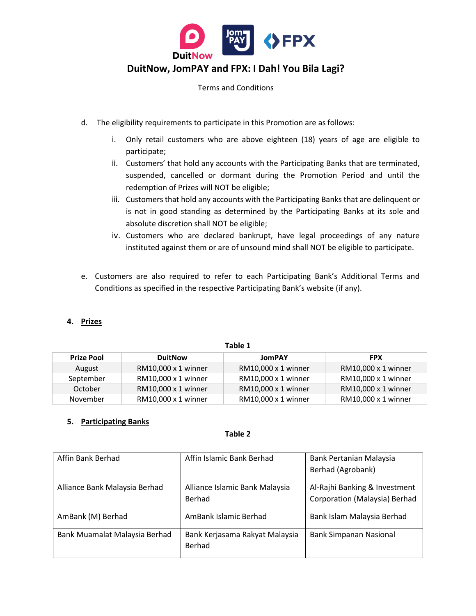

Terms and Conditions

- d. The eligibility requirements to participate in this Promotion are as follows:
	- i. Only retail customers who are above eighteen (18) years of age are eligible to participate;
	- ii. Customers' that hold any accounts with the Participating Banks that are terminated, suspended, cancelled or dormant during the Promotion Period and until the redemption of Prizes will NOT be eligible;
	- iii. Customers that hold any accounts with the Participating Banks that are delinquent or is not in good standing as determined by the Participating Banks at its sole and absolute discretion shall NOT be eligible;
	- iv. Customers who are declared bankrupt, have legal proceedings of any nature instituted against them or are of unsound mind shall NOT be eligible to participate.
- e. Customers are also required to refer to each Participating Bank's Additional Terms and Conditions as specified in the respective Participating Bank's website (if any).

### **4. Prizes**

| <b>Prize Pool</b> | <b>DuitNow</b>      | <b>JomPAY</b>       | <b>FPX</b>          |  |
|-------------------|---------------------|---------------------|---------------------|--|
| August            | RM10,000 x 1 winner | RM10,000 x 1 winner | RM10,000 x 1 winner |  |
| September         | RM10,000 x 1 winner | RM10,000 x 1 winner | RM10,000 x 1 winner |  |
| October           | RM10,000 x 1 winner | RM10,000 x 1 winner | RM10,000 x 1 winner |  |
| November          | RM10,000 x 1 winner | RM10,000 x 1 winner | RM10,000 x 1 winner |  |

**Table 1**

# **5. Participating Banks**

### **Table 2**

| Affin Bank Berhad             | Affin Islamic Bank Berhad                | Bank Pertanian Malaysia<br>Berhad (Agrobank)                   |
|-------------------------------|------------------------------------------|----------------------------------------------------------------|
| Alliance Bank Malaysia Berhad | Alliance Islamic Bank Malaysia<br>Berhad | Al-Rajhi Banking & Investment<br>Corporation (Malaysia) Berhad |
| AmBank (M) Berhad             | AmBank Islamic Berhad                    | Bank Islam Malaysia Berhad                                     |
| Bank Muamalat Malaysia Berhad | Bank Kerjasama Rakyat Malaysia<br>Berhad | <b>Bank Simpanan Nasional</b>                                  |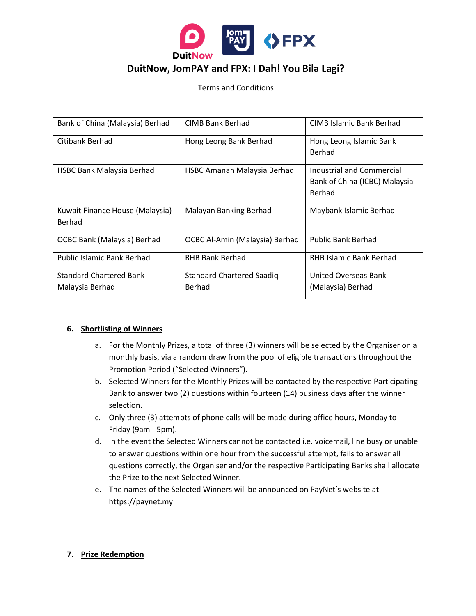

Terms and Conditions

| Bank of China (Malaysia) Berhad           | CIMB Bank Berhad                 | CIMB Islamic Bank Berhad                                             |
|-------------------------------------------|----------------------------------|----------------------------------------------------------------------|
| Citibank Berhad                           | Hong Leong Bank Berhad           | Hong Leong Islamic Bank<br>Berhad                                    |
| HSBC Bank Malaysia Berhad                 | HSBC Amanah Malaysia Berhad      | Industrial and Commercial<br>Bank of China (ICBC) Malaysia<br>Berhad |
| Kuwait Finance House (Malaysia)<br>Berhad | Malayan Banking Berhad           | Maybank Islamic Berhad                                               |
| OCBC Bank (Malaysia) Berhad               | OCBC Al-Amin (Malaysia) Berhad   | <b>Public Bank Berhad</b>                                            |
| <b>Public Islamic Bank Berhad</b>         | <b>RHB Bank Berhad</b>           | RHB Islamic Bank Berhad                                              |
| <b>Standard Chartered Bank</b>            | <b>Standard Chartered Saadiq</b> | United Overseas Bank                                                 |
| Malaysia Berhad                           | Berhad                           | (Malaysia) Berhad                                                    |

### **6. Shortlisting of Winners**

- a. For the Monthly Prizes, a total of three (3) winners will be selected by the Organiser on a monthly basis, via a random draw from the pool of eligible transactions throughout the Promotion Period ("Selected Winners").
- b. Selected Winners for the Monthly Prizes will be contacted by the respective Participating Bank to answer two (2) questions within fourteen (14) business days after the winner selection.
- c. Only three (3) attempts of phone calls will be made during office hours, Monday to Friday (9am - 5pm).
- d. In the event the Selected Winners cannot be contacted i.e. voicemail, line busy or unable to answer questions within one hour from the successful attempt, fails to answer all questions correctly, the Organiser and/or the respective Participating Banks shall allocate the Prize to the next Selected Winner.
- e. The names of the Selected Winners will be announced on PayNet's website at https://paynet.my

### **7. Prize Redemption**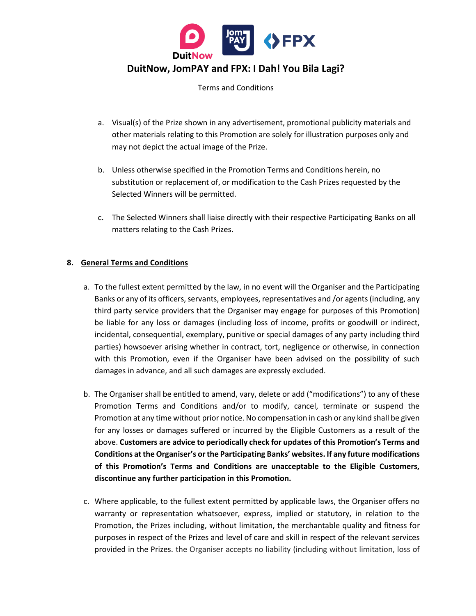

Terms and Conditions

- a. Visual(s) of the Prize shown in any advertisement, promotional publicity materials and other materials relating to this Promotion are solely for illustration purposes only and may not depict the actual image of the Prize.
- b. Unless otherwise specified in the Promotion Terms and Conditions herein, no substitution or replacement of, or modification to the Cash Prizes requested by the Selected Winners will be permitted.
- c. The Selected Winners shall liaise directly with their respective Participating Banks on all matters relating to the Cash Prizes.

### **8. General Terms and Conditions**

- a. To the fullest extent permitted by the law, in no event will the Organiser and the Participating Banks or any of its officers, servants, employees, representatives and /or agents (including, any third party service providers that the Organiser may engage for purposes of this Promotion) be liable for any loss or damages (including loss of income, profits or goodwill or indirect, incidental, consequential, exemplary, punitive or special damages of any party including third parties) howsoever arising whether in contract, tort, negligence or otherwise, in connection with this Promotion, even if the Organiser have been advised on the possibility of such damages in advance, and all such damages are expressly excluded.
- b. The Organiser shall be entitled to amend, vary, delete or add ("modifications") to any of these Promotion Terms and Conditions and/or to modify, cancel, terminate or suspend the Promotion at any time without prior notice. No compensation in cash or any kind shall be given for any losses or damages suffered or incurred by the Eligible Customers as a result of the above. **Customers are advice to periodically check for updates of this Promotion's Terms and Conditions at the Organiser's or the Participating Banks' websites. If any future modifications of this Promotion's Terms and Conditions are unacceptable to the Eligible Customers, discontinue any further participation in this Promotion.**
- c. Where applicable, to the fullest extent permitted by applicable laws, the Organiser offers no warranty or representation whatsoever, express, implied or statutory, in relation to the Promotion, the Prizes including, without limitation, the merchantable quality and fitness for purposes in respect of the Prizes and level of care and skill in respect of the relevant services provided in the Prizes. the Organiser accepts no liability (including without limitation, loss of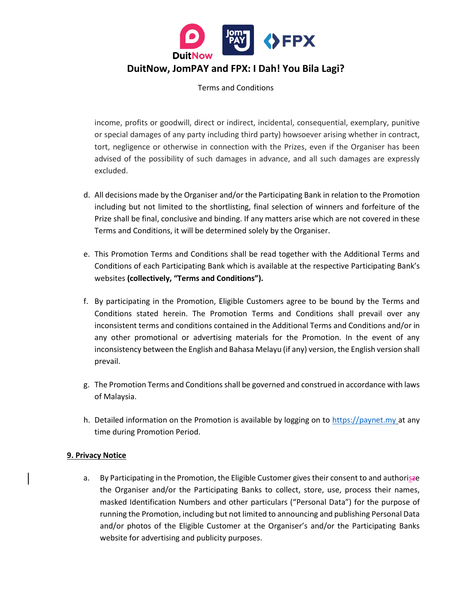

Terms and Conditions

income, profits or goodwill, direct or indirect, incidental, consequential, exemplary, punitive or special damages of any party including third party) howsoever arising whether in contract, tort, negligence or otherwise in connection with the Prizes, even if the Organiser has been advised of the possibility of such damages in advance, and all such damages are expressly excluded.

- d. All decisions made by the Organiser and/or the Participating Bank in relation to the Promotion including but not limited to the shortlisting, final selection of winners and forfeiture of the Prize shall be final, conclusive and binding. If any matters arise which are not covered in these Terms and Conditions, it will be determined solely by the Organiser.
- e. This Promotion Terms and Conditions shall be read together with the Additional Terms and Conditions of each Participating Bank which is available at the respective Participating Bank's websites **(collectively, "Terms and Conditions").**
- f. By participating in the Promotion, Eligible Customers agree to be bound by the Terms and Conditions stated herein. The Promotion Terms and Conditions shall prevail over any inconsistent terms and conditions contained in the Additional Terms and Conditions and/or in any other promotional or advertising materials for the Promotion. In the event of any inconsistency between the English and Bahasa Melayu (if any) version, the English version shall prevail.
- g. The Promotion Terms and Conditions shall be governed and construed in accordance with laws of Malaysia.
- h. Detailed information on the Promotion is available by logging on to [https://paynet.my](https://paynet.my/) at any time during Promotion Period.

### **9. Privacy Notice**

a. By Participating in the Promotion, the Eligible Customer gives their consent to and authorisze the Organiser and/or the Participating Banks to collect, store, use, process their names, masked Identification Numbers and other particulars ("Personal Data") for the purpose of running the Promotion, including but not limited to announcing and publishing Personal Data and/or photos of the Eligible Customer at the Organiser's and/or the Participating Banks website for advertising and publicity purposes.